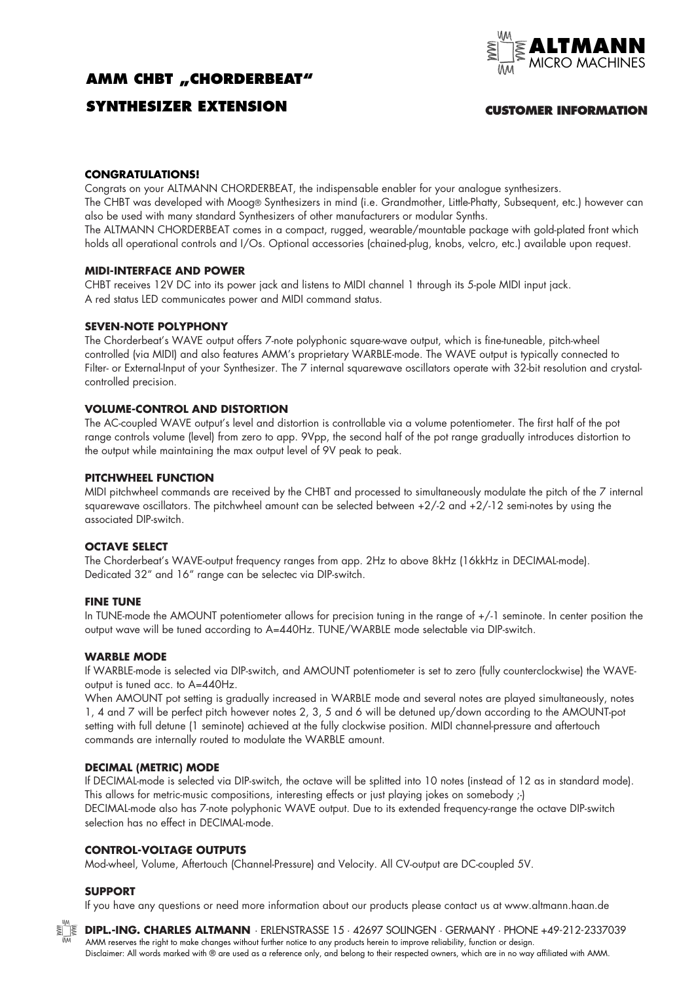# **AMM CHBT "CHORDERBEAT"**



## **SYNTHESIZER EXTENSION**

### **CUSTOMER INFORMATION**

#### **CONGRATULATIONS!**

Congrats on your ALTMANN CHORDERBEAT, the indispensable enabler for your analogue synthesizers. The CHBT was developed with Moog® Synthesizers in mind (i.e. Grandmother, Little-Phatty, Subsequent, etc.) however can also be used with many standard Synthesizers of other manufacturers or modular Synths. The ALTMANN CHORDERBEAT comes in a compact, rugged, wearable/mountable package with gold-plated front which

holds all operational controls and I/Os. Optional accessories (chained-plug, knobs, velcro, etc.) available upon request.

#### **MIDI-INTERFACE AND POWER**

CHBT receives 12V DC into its power jack and listens to MIDI channel 1 through its 5-pole MIDI input jack. A red status LED communicates power and MIDI command status.

#### **SEVEN-NOTE POLYPHONY**

The Chorderbeat's WAVE output offers 7-note polyphonic square-wave output, which is fine-tuneable, pitch-wheel controlled (via MIDI) and also features AMM's proprietary WARBLE-mode. The WAVE output is typically connected to Filter- or External-Input of your Synthesizer. The 7 internal squarewave oscillators operate with 32-bit resolution and crystalcontrolled precision.

#### **VOLUME-CONTROL AND DISTORTION**

The AC-coupled WAVE output's level and distortion is controllable via a volume potentiometer. The first half of the pot range controls volume (level) from zero to app. 9Vpp, the second half of the pot range gradually introduces distortion to the output while maintaining the max output level of 9V peak to peak.

#### **PITCHWHEEL FUNCTION**

MIDI pitchwheel commands are received by the CHBT and processed to simultaneously modulate the pitch of the 7 internal squarewave oscillators. The pitchwheel amount can be selected between +2/-2 and +2/-12 semi-notes by using the associated DIP-switch.

#### **OCTAVE SELECT**

The Chorderbeat's WAVE-output frequency ranges from app. 2Hz to above 8kHz (16kkHz in DECIMAL-mode). Dedicated 32" and 16" range can be selectec via DIP-switch.

#### **FINE TUNE**

In TUNE-mode the AMOUNT potentiometer allows for precision tuning in the range of  $+/-1$  seminote. In center position the output wave will be tuned according to A=440Hz. TUNE/WARBLE mode selectable via DIP-switch.

#### **WARBLE MODE**

If WARBLE-mode is selected via DIP-switch, and AMOUNT potentiometer is set to zero (fully counterclockwise) the WAVEoutput is tuned acc. to A=440Hz.

When AMOUNT pot setting is gradually increased in WARBLE mode and several notes are played simultaneously, notes 1, 4 and 7 will be perfect pitch however notes 2, 3, 5 and 6 will be detuned up/down according to the AMOUNT-pot setting with full detune (1 seminote) achieved at the fully clockwise position. MIDI channel-pressure and aftertouch commands are internally routed to modulate the WARBLE amount.

#### **DECIMAL (METRIC) MODE**

If DECIMAL-mode is selected via DIP-switch, the octave will be splitted into 10 notes (instead of 12 as in standard mode). This allows for metric-music compositions, interesting effects or just playing jokes on somebody ;-) DECIMAL-mode also has 7-note polyphonic WAVE output. Due to its extended frequency-range the octave DIP-switch selection has no effect in DECIMAL-mode.

#### **CONTROL-VOLTAGE OUTPUTS**

Mod-wheel, Volume, Aftertouch (Channel-Pressure) and Velocity. All CV-output are DC-coupled 5V.

#### **SUPPORT**

If you have any questions or need more information about our products please contact us at www.altmann.haan.de



**DIPL.-ING. CHARLES ALTMANN** · ERLENSTRASSE 15 · 42697 SOLINGEN · GERMANY · PHONE +49-212-2337039 AMM reserves the right to make changes without further notice to any products herein to improve reliability, function or design. Disclaimer: All words marked with ® are used as a reference only, and belong to their respected owners, which are in no way affiliated with AMM.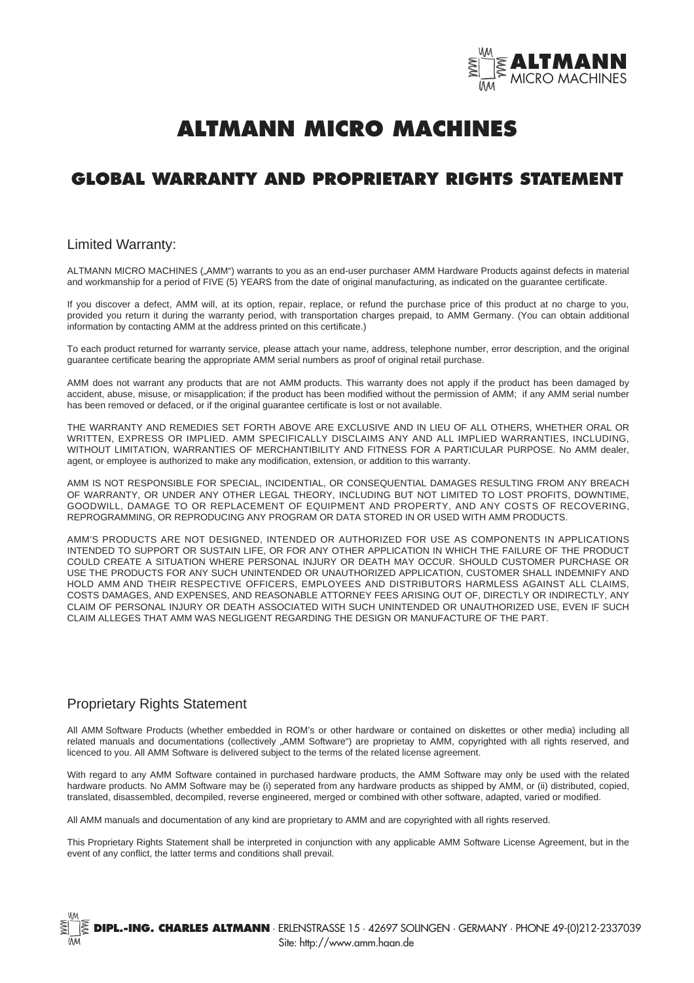

# **ALTMANN MICRO MACHINES**

# **GLOBAL WARRANTY AND PROPRIETARY RIGHTS STATEMENT**

#### Limited Warranty:

ALTMANN MICRO MACHINES ("AMM") warrants to you as an end-user purchaser AMM Hardware Products against defects in material and workmanship for a period of FIVE (5) YEARS from the date of original manufacturing, as indicated on the guarantee certificate.

If you discover a defect, AMM will, at its option, repair, replace, or refund the purchase price of this product at no charge to you, provided you return it during the warranty period, with transportation charges prepaid, to AMM Germany. (You can obtain additional information by contacting AMM at the address printed on this certificate.)

To each product returned for warranty service, please attach your name, address, telephone number, error description, and the original guarantee certificate bearing the appropriate AMM serial numbers as proof of original retail purchase.

AMM does not warrant any products that are not AMM products. This warranty does not apply if the product has been damaged by accident, abuse, misuse, or misapplication; if the product has been modified without the permission of AMM; if any AMM serial number has been removed or defaced, or if the original guarantee certificate is lost or not available.

THE WARRANTY AND REMEDIES SET FORTH ABOVE ARE EXCLUSIVE AND IN LIEU OF ALL OTHERS, WHETHER ORAL OR WRITTEN, EXPRESS OR IMPLIED. AMM SPECIFICALLY DISCLAIMS ANY AND ALL IMPLIED WARRANTIES, INCLUDING, WITHOUT LIMITATION, WARRANTIES OF MERCHANTIBILITY AND FITNESS FOR A PARTICULAR PURPOSE. No AMM dealer, agent, or employee is authorized to make any modification, extension, or addition to this warranty.

AMM IS NOT RESPONSIBLE FOR SPECIAL, INCIDENTIAL, OR CONSEQUENTIAL DAMAGES RESULTING FROM ANY BREACH OF WARRANTY, OR UNDER ANY OTHER LEGAL THEORY, INCLUDING BUT NOT LIMITED TO LOST PROFITS, DOWNTIME, GOODWILL, DAMAGE TO OR REPLACEMENT OF EQUIPMENT AND PROPERTY, AND ANY COSTS OF RECOVERING, REPROGRAMMING, OR REPRODUCING ANY PROGRAM OR DATA STORED IN OR USED WITH AMM PRODUCTS.

AMM'S PRODUCTS ARE NOT DESIGNED, INTENDED OR AUTHORIZED FOR USE AS COMPONENTS IN APPLICATIONS INTENDED TO SUPPORT OR SUSTAIN LIFE, OR FOR ANY OTHER APPLICATION IN WHICH THE FAILURE OF THE PRODUCT COULD CREATE A SITUATION WHERE PERSONAL INJURY OR DEATH MAY OCCUR. SHOULD CUSTOMER PURCHASE OR USE THE PRODUCTS FOR ANY SUCH UNINTENDED OR UNAUTHORIZED APPLICATION, CUSTOMER SHALL INDEMNIFY AND HOLD AMM AND THEIR RESPECTIVE OFFICERS, EMPLOYEES AND DISTRIBUTORS HARMLESS AGAINST ALL CLAIMS, COSTS DAMAGES, AND EXPENSES, AND REASONABLE ATTORNEY FEES ARISING OUT OF, DIRECTLY OR INDIRECTLY, ANY CLAIM OF PERSONAL INJURY OR DEATH ASSOCIATED WITH SUCH UNINTENDED OR UNAUTHORIZED USE, EVEN IF SUCH CLAIM ALLEGES THAT AMM WAS NEGLIGENT REGARDING THE DESIGN OR MANUFACTURE OF THE PART.

### Proprietary Rights Statement

All AMM Software Products (whether embedded in ROM's or other hardware or contained on diskettes or other media) including all related manuals and documentations (collectively "AMM Software") are proprietay to AMM, copyrighted with all rights reserved, and licenced to you. All AMM Software is delivered subject to the terms of the related license agreement.

With regard to any AMM Software contained in purchased hardware products, the AMM Software may only be used with the related hardware products. No AMM Software may be (i) seperated from any hardware products as shipped by AMM, or (ii) distributed, copied, translated, disassembled, decompiled, reverse engineered, merged or combined with other software, adapted, varied or modified.

All AMM manuals and documentation of any kind are proprietary to AMM and are copyrighted with all rights reserved.

This Proprietary Rights Statement shall be interpreted in conjunction with any applicable AMM Software License Agreement, but in the event of any conflict, the latter terms and conditions shall prevail.